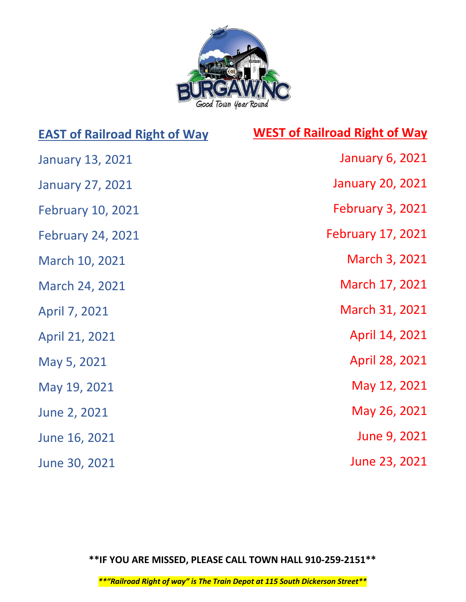

## EAST of Railroad Right of Way

## WEST of Railroad Right of Way

| <b>January 13, 2021</b>  | <b>January 6, 2021</b>   |
|--------------------------|--------------------------|
| <b>January 27, 2021</b>  | <b>January 20, 2021</b>  |
| <b>February 10, 2021</b> | <b>February 3, 2021</b>  |
| <b>February 24, 2021</b> | <b>February 17, 2021</b> |
| March 10, 2021           | March 3, 2021            |
| March 24, 2021           | March 17, 2021           |
| April 7, 2021            | March 31, 2021           |
| April 21, 2021           | April 14, 2021           |
| May 5, 2021              | April 28, 2021           |
| May 19, 2021             | May 12, 2021             |
| June 2, 2021             | May 26, 2021             |
| June 16, 2021            | June 9, 2021             |
| June 30, 2021            | June 23, 2021            |

\*\*IF YOU ARE MISSED, PLEASE CALL TOWN HALL 910-259-2151\*\*